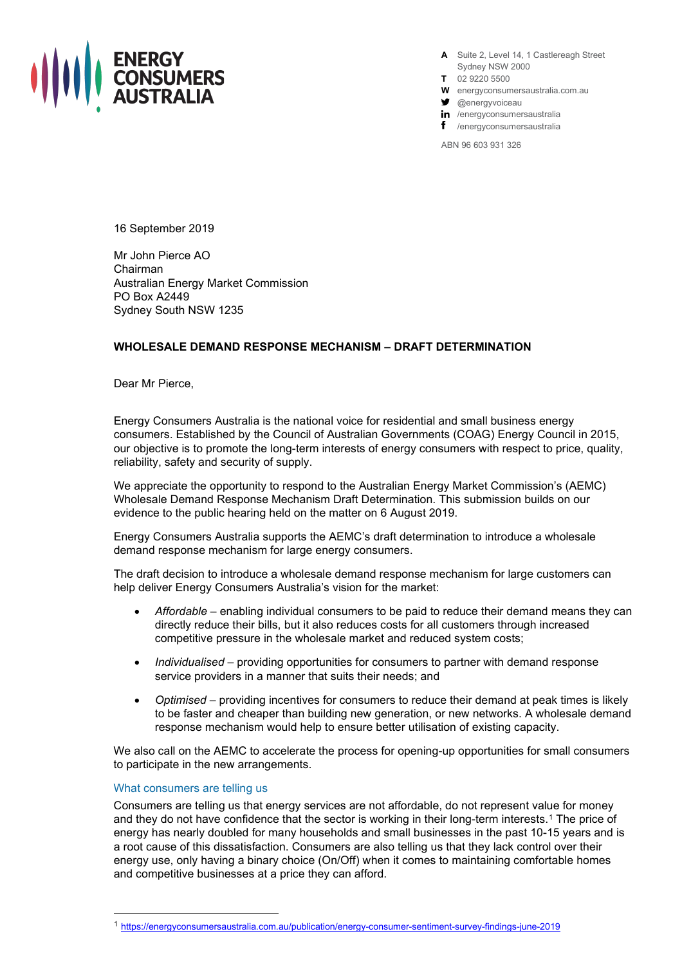

**A** Suite 2, Level 14, 1 Castlereagh Street Sydney NSW 2000

- **T** 02 9220 5500
- **W** energyconsumersaustralia.com.au
- $\bullet$  @energyvoiceau
- in /energyconsumersaustralia
- f /energyconsumersaustralia

ABN 96 603 931 326

16 September 2019

Mr John Pierce AO Chairman Australian Energy Market Commission PO Box A2449 Sydney South NSW 1235

## **WHOLESALE DEMAND RESPONSE MECHANISM – DRAFT DETERMINATION**

Dear Mr Pierce,

Energy Consumers Australia is the national voice for residential and small business energy consumers. Established by the Council of Australian Governments (COAG) Energy Council in 2015, our objective is to promote the long-term interests of energy consumers with respect to price, quality, reliability, safety and security of supply.

We appreciate the opportunity to respond to the Australian Energy Market Commission's (AEMC) Wholesale Demand Response Mechanism Draft Determination. This submission builds on our evidence to the public hearing held on the matter on 6 August 2019.

Energy Consumers Australia supports the AEMC's draft determination to introduce a wholesale demand response mechanism for large energy consumers.

The draft decision to introduce a wholesale demand response mechanism for large customers can help deliver Energy Consumers Australia's vision for the market:

- *Affordable* enabling individual consumers to be paid to reduce their demand means they can directly reduce their bills, but it also reduces costs for all customers through increased competitive pressure in the wholesale market and reduced system costs;
- *Individualised* providing opportunities for consumers to partner with demand response service providers in a manner that suits their needs; and
- *Optimised* providing incentives for consumers to reduce their demand at peak times is likely to be faster and cheaper than building new generation, or new networks. A wholesale demand response mechanism would help to ensure better utilisation of existing capacity.

We also call on the AEMC to accelerate the process for opening-up opportunities for small consumers to participate in the new arrangements.

## What consumers are telling us

Consumers are telling us that energy services are not affordable, do not represent value for money and they do not have confidence that the sector is working in their long-term interests.[1](#page-0-0) The price of energy has nearly doubled for many households and small businesses in the past 10-15 years and is a root cause of this dissatisfaction. Consumers are also telling us that they lack control over their energy use, only having a binary choice (On/Off) when it comes to maintaining comfortable homes and competitive businesses at a price they can afford.

<span id="page-0-0"></span><sup>1</sup> <https://energyconsumersaustralia.com.au/publication/energy-consumer-sentiment-survey-findings-june-2019>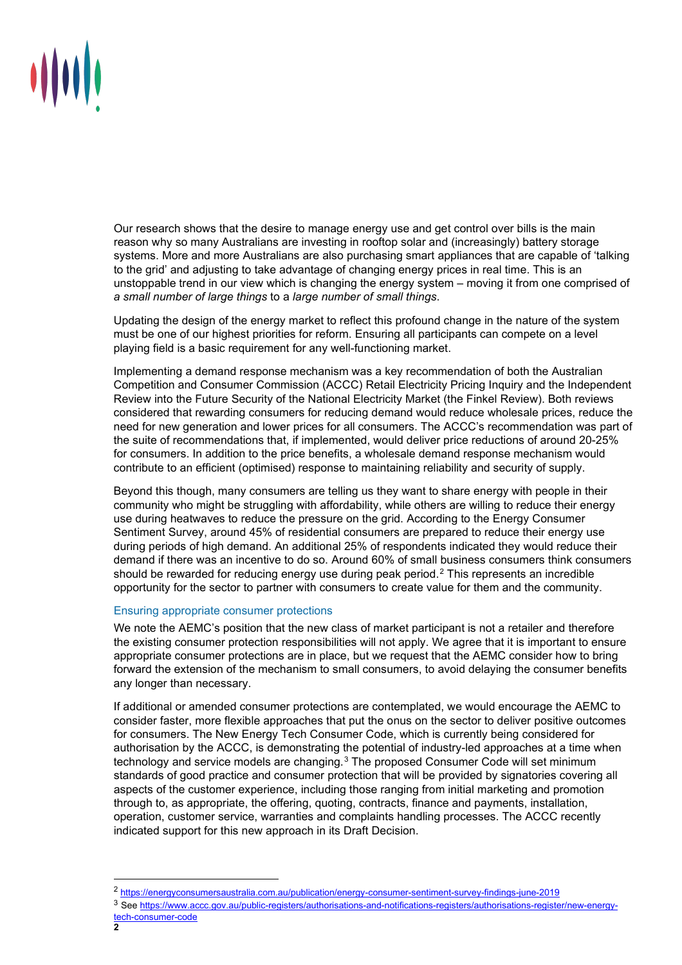

Our research shows that the desire to manage energy use and get control over bills is the main reason why so many Australians are investing in rooftop solar and (increasingly) battery storage systems. More and more Australians are also purchasing smart appliances that are capable of 'talking to the grid' and adjusting to take advantage of changing energy prices in real time. This is an unstoppable trend in our view which is changing the energy system – moving it from one comprised of *a small number of large things* to a *large number of small things*.

Updating the design of the energy market to reflect this profound change in the nature of the system must be one of our highest priorities for reform. Ensuring all participants can compete on a level playing field is a basic requirement for any well-functioning market.

Implementing a demand response mechanism was a key recommendation of both the Australian Competition and Consumer Commission (ACCC) Retail Electricity Pricing Inquiry and the Independent Review into the Future Security of the National Electricity Market (the Finkel Review). Both reviews considered that rewarding consumers for reducing demand would reduce wholesale prices, reduce the need for new generation and lower prices for all consumers. The ACCC's recommendation was part of the suite of recommendations that, if implemented, would deliver price reductions of around 20-25% for consumers. In addition to the price benefits, a wholesale demand response mechanism would contribute to an efficient (optimised) response to maintaining reliability and security of supply.

Beyond this though, many consumers are telling us they want to share energy with people in their community who might be struggling with affordability, while others are willing to reduce their energy use during heatwaves to reduce the pressure on the grid. According to the Energy Consumer Sentiment Survey, around 45% of residential consumers are prepared to reduce their energy use during periods of high demand. An additional 25% of respondents indicated they would reduce their demand if there was an incentive to do so. Around 60% of small business consumers think consumers should be rewarded for reducing energy use during peak period.<sup>[2](#page-1-0)</sup> This represents an incredible opportunity for the sector to partner with consumers to create value for them and the community.

## Ensuring appropriate consumer protections

We note the AEMC's position that the new class of market participant is not a retailer and therefore the existing consumer protection responsibilities will not apply. We agree that it is important to ensure appropriate consumer protections are in place, but we request that the AEMC consider how to bring forward the extension of the mechanism to small consumers, to avoid delaying the consumer benefits any longer than necessary.

If additional or amended consumer protections are contemplated, we would encourage the AEMC to consider faster, more flexible approaches that put the onus on the sector to deliver positive outcomes for consumers. The New Energy Tech Consumer Code, which is currently being considered for authorisation by the ACCC, is demonstrating the potential of industry-led approaches at a time when technology and service models are changing.<sup>[3](#page-1-1)</sup> The proposed Consumer Code will set minimum standards of good practice and consumer protection that will be provided by signatories covering all aspects of the customer experience, including those ranging from initial marketing and promotion through to, as appropriate, the offering, quoting, contracts, finance and payments, installation, operation, customer service, warranties and complaints handling processes. The ACCC recently indicated support for this new approach in its Draft Decision.

<sup>2</sup> <https://energyconsumersaustralia.com.au/publication/energy-consumer-sentiment-survey-findings-june-2019>

<span id="page-1-1"></span><span id="page-1-0"></span><sup>3</sup> See [https://www.accc.gov.au/public-registers/authorisations-and-notifications-registers/authorisations-register/new-energy](https://www.accc.gov.au/public-registers/authorisations-and-notifications-registers/authorisations-register/new-energy-tech-consumer-code)[tech-consumer-code](https://www.accc.gov.au/public-registers/authorisations-and-notifications-registers/authorisations-register/new-energy-tech-consumer-code)